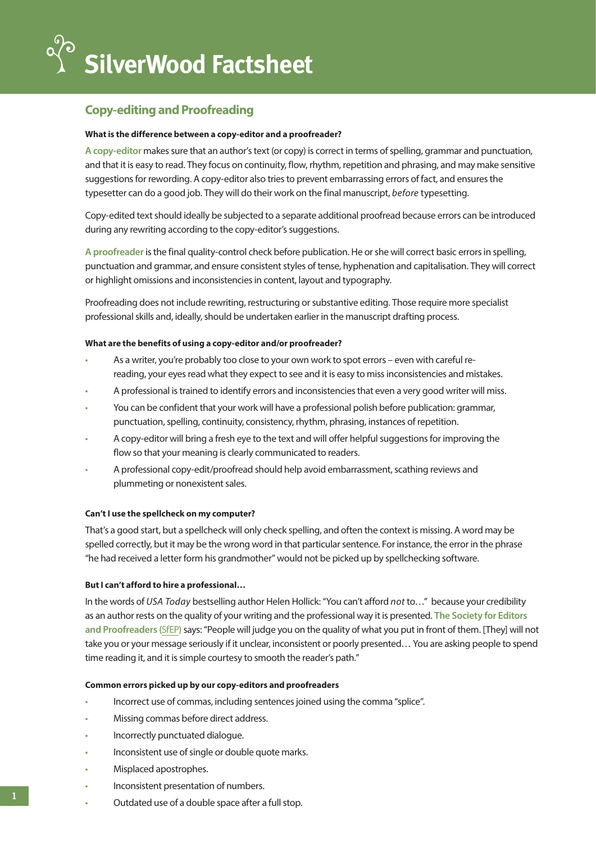# **Copy-editing and Proofreading**

## **What is the difference between a copy-editor and a proofreader?**

**A copy-editor** makes sure that an author's text (or copy) is correct in terms of spelling, grammar and punctuation, and that it is easy to read. They focus on continuity, flow, rhythm, repetition and phrasing, and may make sensitive suggestions for rewording. A copy-editor also tries to prevent embarrassing errors of fact, and ensures the typesetter can do a good job. They will do their work on the final manuscript, *before* typesetting.

Copy-edited text should ideally be subjected to a separate additional proofread because errors can be introduced during any rewriting according to the copy-editor's suggestions.

**A proofreader** is the final quality-control check before publication. He or she will correct basic errors in spelling, punctuation and grammar, and ensure consistent styles of tense, hyphenation and capitalisation. They will correct or highlight omissions and inconsistencies in content, layout and typography.

Proofreading does not include rewriting, restructuring or substantive editing. Those require more specialist professional skills and, ideally, should be undertaken earlier in the manuscript drafting process.

### **What are the benefits of using a copy-editor and/or proofreader?**

- As a writer, you're probably too close to your own work to spot errors even with careful rereading, your eyes read what they expect to see and it is easy to miss inconsistencies and mistakes.
- A professional is trained to identify errors and inconsistencies that even a very good writer will miss.
- You can be confident that your work will have a professional polish before publication: grammar, punctuation, spelling, continuity, consistency, rhythm, phrasing, instances of repetition.
- A copy-editor will bring a fresh eye to the text and will offer helpful suggestions for improving the flow so that your meaning is clearly communicated to readers.
- A professional copy-edit/proofread should help avoid embarrassment, scathing reviews and plummeting or nonexistent sales.

# **Can't I use the spellcheck on my computer?**

That's a good start, but a spellcheck will only check spelling, and often the context is missing. A word may be spelled correctly, but it may be the wrong word in that particular sentence. For instance, the error in the phrase "he had received a letter form his grandmother" would not be picked up by spellchecking software.

# **But I can't afford to hire a professional…**

In the words of *USA Today* bestselling author Helen Hollick: "You can't afford *not* to…" because your credibility as an author rests on the quality of your writing and the professional way it is presented. **The Society for Editors and Proofreaders (**[SfEP](http://SfEP)**)** says: "People will judge you on the quality of what you put in front of them. [They] will not take you or your message seriously if it unclear, inconsistent or poorly presented… You are asking people to spend time reading it, and it is simple courtesy to smooth the reader's path."

# **Common errors picked up by our copy-editors and proofreaders**

- Incorrect use of commas, including sentences joined using the comma "splice".
- Missing commas before direct address.
- Incorrectly punctuated dialogue.
- Inconsistent use of single or double quote marks.
- Misplaced apostrophes.
- Inconsistent presentation of numbers.
- Outdated use of a double space after a full stop.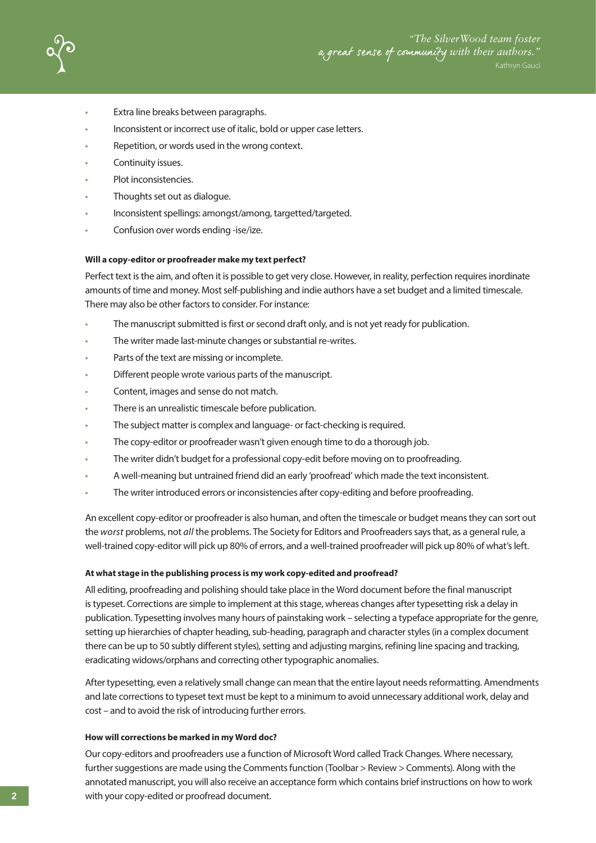

- Extra line breaks between paragraphs.
- Inconsistent or incorrect use of italic, bold or upper case letters.
- Repetition, or words used in the wrong context.
- Continuity issues.
- Plot inconsistencies.
- Thoughts set out as dialogue.
- Inconsistent spellings: amongst/among, targetted/targeted.
- Confusion over words ending -ise/ize.

#### **Will a copy-editor or proofreader make my text perfect?**

Perfect text is the aim, and often it is possible to get very close. However, in reality, perfection requires inordinate amounts of time and money. Most self-publishing and indie authors have a set budget and a limited timescale. There may also be other factors to consider. For instance:

- The manuscript submitted is first or second draft only, and is not yet ready for publication.
- The writer made last-minute changes or substantial re-writes.
- Parts of the text are missing or incomplete.
- Different people wrote various parts of the manuscript.
- Content, images and sense do not match.
- There is an unrealistic timescale before publication.
- The subject matter is complex and language- or fact-checking is required.
- The copy-editor or proofreader wasn't given enough time to do a thorough job.
- The writer didn't budget for a professional copy-edit before moving on to proofreading.
- A well-meaning but untrained friend did an early 'proofread' which made the text inconsistent.
- The writer introduced errors or inconsistencies after copy-editing and before proofreading.

An excellent copy-editor or proofreader is also human, and often the timescale or budget means they can sort out the *worst* problems, not *all* the problems. The Society for Editors and Proofreaders says that, as a general rule, a well-trained copy-editor will pick up 80% of errors, and a well-trained proofreader will pick up 80% of what's left.

### **At what stage in the publishing process is my work copy-edited and proofread?**

All editing, proofreading and polishing should take place in the Word document before the final manuscript is typeset. Corrections are simple to implement at this stage, whereas changes after typesetting risk a delay in publication. Typesetting involves many hours of painstaking work – selecting a typeface appropriate for the genre, setting up hierarchies of chapter heading, sub-heading, paragraph and character styles (in a complex document there can be up to 50 subtly different styles), setting and adjusting margins, refining line spacing and tracking, eradicating widows/orphans and correcting other typographic anomalies.

After typesetting, even a relatively small change can mean that the entire layout needs reformatting. Amendments and late corrections to typeset text must be kept to a minimum to avoid unnecessary additional work, delay and cost – and to avoid the risk of introducing further errors.

### **How will corrections be marked in my Word doc?**

Our copy-editors and proofreaders use a function of Microsoft Word called Track Changes. Where necessary, further suggestions are made using the Comments function (Toolbar > Review > Comments). Along with the annotated manuscript, you will also receive an acceptance form which contains brief instructions on how to work with your copy-edited or proofread document.